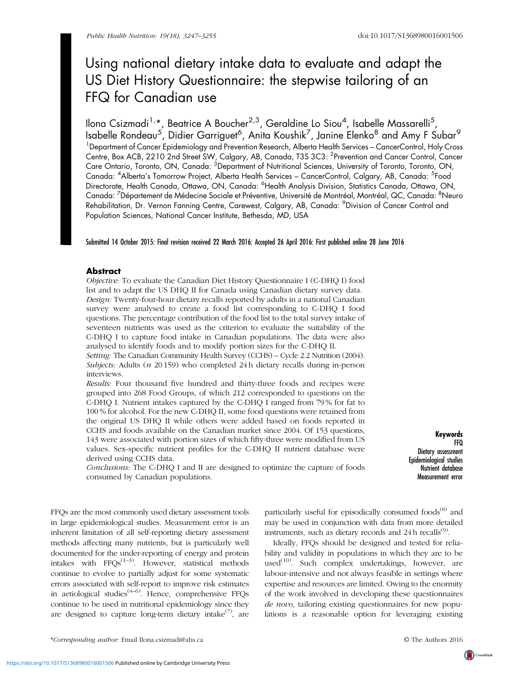# Using national dietary intake data to evaluate and adapt the US Diet History Questionnaire: the stepwise tailoring of an FFQ for Canadian use

Ilona Csizmadi<sup>1,</sup>\*, Beatrice A Boucher<sup>2,3</sup>, Geraldine Lo Siou<sup>4</sup>, Isabelle Massarelli<sup>5</sup>, Isabelle Rondeau<sup>5</sup>, Didier Garriguet<sup>6</sup>, Anita Koushik<sup>7</sup>, Janine Elenko<sup>8</sup> and Amy F Subar<sup>9</sup> <sup>1</sup>Department of Cancer Epidemiology and Prevention Research, Alberta Health Services – CancerControl, Holy Cross Centre, Box ACB, 2210 2nd Street SW, Calgary, AB, Canada, T3S 3C3: <sup>2</sup>Prevention and Cancer Control, Cancer Care Ontario, Toronto, ON, Canada: <sup>3</sup>Department of Nutritional Sciences, University of Toronto, Toronto, ON, Canada: <sup>4</sup>Alberta's Tomorrow Project, Alberta Health Services – CancerControl, Calgary, AB, Canada: <sup>5</sup>Food Directorate, Health Canada, Ottawa, ON, Canada: <sup>6</sup>Health Analysis Division, Statistics Canada, Ottawa, ON, Canada: <sup>7</sup>Département de Médecine Sociale et Préventive, Université de Montréal, Montréal, QC, Canada: <sup>8</sup>Neuro Rehabilitation, Dr. Vernon Fanning Centre, Carewest, Calgary, AB, Canada: <sup>9</sup>Division of Cancer Control and Population Sciences, National Cancer Institute, Bethesda, MD, USA

## Submitted 14 October 2015: Final revision received 22 March 2016: Accepted 26 April 2016: First published online 28 June 2016

# Abstract

Objective: To evaluate the Canadian Diet History Questionnaire I (C-DHQ I) food list and to adapt the US DHQ II for Canada using Canadian dietary survey data. Design: Twenty-four-hour dietary recalls reported by adults in a national Canadian survey were analysed to create a food list corresponding to C-DHQ I food questions. The percentage contribution of the food list to the total survey intake of seventeen nutrients was used as the criterion to evaluate the suitability of the C-DHQ I to capture food intake in Canadian populations. The data were also analysed to identify foods and to modify portion sizes for the C-DHQ II.

Setting: The Canadian Community Health Survey (CCHS) – Cycle 2.2 Nutrition (2004). Subjects: Adults  $(n 20 159)$  who completed 24h dietary recalls during in-person interviews.

Results: Four thousand five hundred and thirty-three foods and recipes were grouped into 268 Food Groups, of which 212 corresponded to questions on the C-DHQ I. Nutrient intakes captured by the C-DHQ I ranged from 79 % for fat to 100 % for alcohol. For the new C-DHQ II, some food questions were retained from the original US DHQ II while others were added based on foods reported in CCHS and foods available on the Canadian market since 2004. Of 153 questions, 143 were associated with portion sizes of which fifty-three were modified from US values. Sex-specific nutrient profiles for the C-DHQ II nutrient database were derived using CCHS data.

Conclusions: The C-DHQ I and II are designed to optimize the capture of foods consumed by Canadian populations.

Keywords FFQ Dietary assessment Epidemiological studies Nutrient database Measurement error

FFQs are the most commonly used dietary assessment tools in large epidemiological studies. Measurement error is an inherent limitation of all self-reporting dietary assessment methods affecting many nutrients, but is particularly well documented for the under-reporting of energy and protein intakes with  $FFQs^{(1-3)}$  $FFQs^{(1-3)}$  $FFQs^{(1-3)}$  $FFQs^{(1-3)}$  $FFQs^{(1-3)}$ . However, statistical methods continue to evolve to partially adjust for some systematic errors associated with self-report to improve risk estimates in aetiological studies<sup> $(4-6)$  $(4-6)$  $(4-6)$  $(4-6)$  $(4-6)$ </sup>. Hence, comprehensive FFQs continue to be used in nutritional epidemiology since they are designed to capture long-term dietary intake<sup>[\(7\)](#page-7-0)</sup>, are particularly useful for episodically consumed foods<sup>[\(8\)](#page-7-0)</sup> and may be used in conjunction with data from more detailed instruments, such as dietary records and  $24 h$  recalls<sup>[\(9\)](#page-7-0)</sup>.

Ideally, FFQs should be designed and tested for reliability and validity in populations in which they are to be used $^{(10)}$  $^{(10)}$  $^{(10)}$ . Such complex undertakings, however, are labour-intensive and not always feasible in settings where expertise and resources are limited. Owing to the enormity of the work involved in developing these questionnaires de novo, tailoring existing questionnaires for new populations is a reasonable option for leveraging existing

CrossMark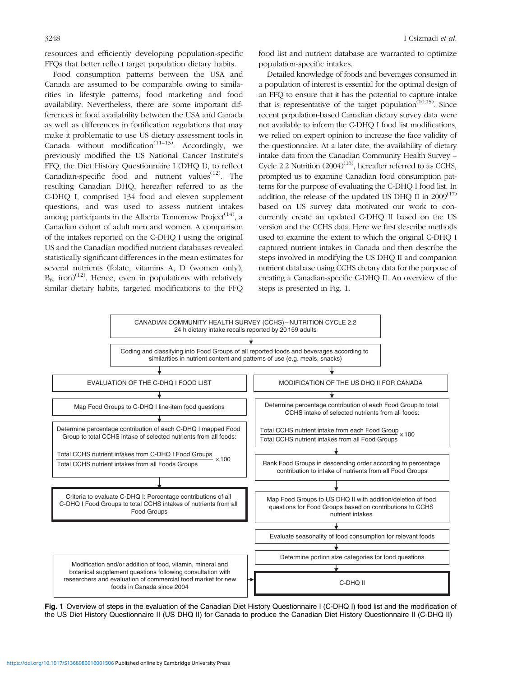resources and efficiently developing population-specific FFQs that better reflect target population dietary habits.

Food consumption patterns between the USA and Canada are assumed to be comparable owing to similarities in lifestyle patterns, food marketing and food availability. Nevertheless, there are some important differences in food availability between the USA and Canada as well as differences in fortification regulations that may make it problematic to use US dietary assessment tools in Canada without modification<sup> $(11-13)$  $(11-13)$  $(11-13)$  $(11-13)$  $(11-13)$ </sup>. Accordingly, we previously modified the US National Cancer Institute's FFQ, the Diet History Questionnaire I (DHQ I), to reflect Canadian-specific food and nutrient values<sup> $(12)$  $(12)$ </sup>. The resulting Canadian DHQ, hereafter referred to as the C-DHQ I, comprised 134 food and eleven supplement questions, and was used to assess nutrient intakes among participants in the Alberta Tomorrow Project<sup> $(14)$  $(14)$ </sup>, a Canadian cohort of adult men and women. A comparison of the intakes reported on the C-DHQ I using the original US and the Canadian modified nutrient databases revealed statistically significant differences in the mean estimates for several nutrients (folate, vitamins A, D (women only),  $B_6$ , iron)<sup>([12\)](#page-7-0)</sup>. Hence, even in populations with relatively similar dietary habits, targeted modifications to the FFQ

food list and nutrient database are warranted to optimize population-specific intakes.

Detailed knowledge of foods and beverages consumed in a population of interest is essential for the optimal design of an FFQ to ensure that it has the potential to capture intake that is representative of the target population<sup> $(10,15)$  $(10,15)$  $(10,15)$ </sup>. Since recent population-based Canadian dietary survey data were not available to inform the C-DHQ I food list modifications, we relied on expert opinion to increase the face validity of the questionnaire. At a later date, the availability of dietary intake data from the Canadian Community Health Survey – Cycle 2.2 Nutrition  $(2004)^{(16)}$  $(2004)^{(16)}$  $(2004)^{(16)}$ , hereafter referred to as CCHS, prompted us to examine Canadian food consumption patterns for the purpose of evaluating the C-DHQ I food list. In addition, the release of the updated US DHQ II in  $2009^{(17)}$  $2009^{(17)}$  $2009^{(17)}$ based on US survey data motivated our work to concurrently create an updated C-DHQ II based on the US version and the CCHS data. Here we first describe methods used to examine the extent to which the original C-DHQ I captured nutrient intakes in Canada and then describe the steps involved in modifying the US DHQ II and companion nutrient database using CCHS dietary data for the purpose of creating a Canadian-specific C-DHQ II. An overview of the steps is presented in Fig. 1.



Fig. 1 Overview of steps in the evaluation of the Canadian Diet History Questionnaire I (C-DHQ I) food list and the modification of the US Diet History Questionnaire II (US DHQ II) for Canada to produce the Canadian Diet History Questionnaire II (C-DHQ II)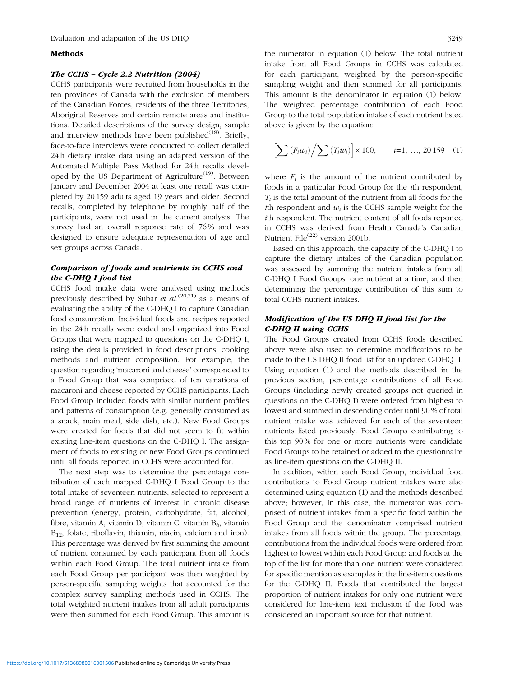#### Methods

#### The CCHS – Cycle 2.2 Nutrition (2004)

CCHS participants were recruited from households in the ten provinces of Canada with the exclusion of members of the Canadian Forces, residents of the three Territories, Aboriginal Reserves and certain remote areas and institutions. Detailed descriptions of the survey design, sample and interview methods have been published $(18)$  $(18)$ . Briefly, face-to-face interviews were conducted to collect detailed 24 h dietary intake data using an adapted version of the Automated Multiple Pass Method for 24 h recalls developed by the US Department of Agriculture<sup> $(19)$  $(19)$ </sup>. Between January and December 2004 at least one recall was completed by 20 159 adults aged 19 years and older. Second recalls, completed by telephone by roughly half of the participants, were not used in the current analysis. The survey had an overall response rate of 76% and was designed to ensure adequate representation of age and sex groups across Canada.

### Comparison of foods and nutrients in CCHS and the C-DHQ I food list

CCHS food intake data were analysed using methods previously described by Subar *et al.*<sup>[\(20,21](#page-8-0))</sup> as a means of evaluating the ability of the C-DHQ I to capture Canadian food consumption. Individual foods and recipes reported in the 24 h recalls were coded and organized into Food Groups that were mapped to questions on the C-DHQ I, using the details provided in food descriptions, cooking methods and nutrient composition. For example, the question regarding 'macaroni and cheese' corresponded to a Food Group that was comprised of ten variations of macaroni and cheese reported by CCHS participants. Each Food Group included foods with similar nutrient profiles and patterns of consumption (e.g. generally consumed as a snack, main meal, side dish, etc.). New Food Groups were created for foods that did not seem to fit within existing line-item questions on the C-DHQ I. The assignment of foods to existing or new Food Groups continued until all foods reported in CCHS were accounted for.

The next step was to determine the percentage contribution of each mapped C-DHQ I Food Group to the total intake of seventeen nutrients, selected to represent a broad range of nutrients of interest in chronic disease prevention (energy, protein, carbohydrate, fat, alcohol, fibre, vitamin A, vitamin D, vitamin C, vitamin  $B_6$ , vitamin B12, folate, riboflavin, thiamin, niacin, calcium and iron). This percentage was derived by first summing the amount of nutrient consumed by each participant from all foods within each Food Group. The total nutrient intake from each Food Group per participant was then weighted by person-specific sampling weights that accounted for the complex survey sampling methods used in CCHS. The total weighted nutrient intakes from all adult participants were then summed for each Food Group. This amount is the numerator in equation (1) below. The total nutrient intake from all Food Groups in CCHS was calculated for each participant, weighted by the person-specific sampling weight and then summed for all participants. This amount is the denominator in equation (1) below. The weighted percentage contribution of each Food Group to the total population intake of each nutrient listed above is given by the equation:

$$
\left[\sum (F_i w_i) / \sum (T_i w_i)\right] \times 100, \qquad i=1, ..., 20159 \quad (1)
$$

where  $F_i$  is the amount of the nutrient contributed by foods in a particular Food Group for the ith respondent,  $T_i$  is the total amount of the nutrient from all foods for the ith respondent and  $w_i$  is the CCHS sample weight for the ith respondent. The nutrient content of all foods reported in CCHS was derived from Health Canada's Canadian Nutrient File<sup>([22\)](#page-8-0)</sup> version 2001b.

Based on this approach, the capacity of the C-DHQ I to capture the dietary intakes of the Canadian population was assessed by summing the nutrient intakes from all C-DHQ I Food Groups, one nutrient at a time, and then determining the percentage contribution of this sum to total CCHS nutrient intakes.

## Modification of the US DHQ II food list for the C-DHQ II using CCHS

The Food Groups created from CCHS foods described above were also used to determine modifications to be made to the US DHQ II food list for an updated C-DHQ II. Using equation (1) and the methods described in the previous section, percentage contributions of all Food Groups (including newly created groups not queried in questions on the C-DHQ I) were ordered from highest to lowest and summed in descending order until 90 % of total nutrient intake was achieved for each of the seventeen nutrients listed previously. Food Groups contributing to this top 90 % for one or more nutrients were candidate Food Groups to be retained or added to the questionnaire as line-item questions on the C-DHQ II.

In addition, within each Food Group, individual food contributions to Food Group nutrient intakes were also determined using equation (1) and the methods described above; however, in this case, the numerator was comprised of nutrient intakes from a specific food within the Food Group and the denominator comprised nutrient intakes from all foods within the group. The percentage contributions from the individual foods were ordered from highest to lowest within each Food Group and foods at the top of the list for more than one nutrient were considered for specific mention as examples in the line-item questions for the C-DHQ II. Foods that contributed the largest proportion of nutrient intakes for only one nutrient were considered for line-item text inclusion if the food was considered an important source for that nutrient.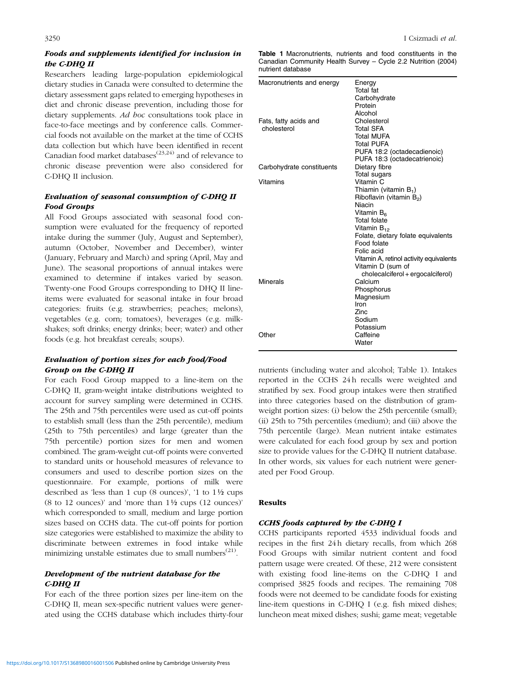# Foods and supplements identified for inclusion in the C-DHO II

Researchers leading large-population epidemiological dietary studies in Canada were consulted to determine the dietary assessment gaps related to emerging hypotheses in diet and chronic disease prevention, including those for dietary supplements. Ad hoc consultations took place in face-to-face meetings and by conference calls. Commercial foods not available on the market at the time of CCHS data collection but which have been identified in recent Canadian food market databases<sup> $(23,24)$  $(23,24)$ </sup> and of relevance to chronic disease prevention were also considered for C-DHQ II inclusion.

# Evaluation of seasonal consumption of C-DHQ II Food Groups

All Food Groups associated with seasonal food consumption were evaluated for the frequency of reported intake during the summer (July, August and September), autumn (October, November and December), winter (January, February and March) and spring (April, May and June). The seasonal proportions of annual intakes were examined to determine if intakes varied by season. Twenty-one Food Groups corresponding to DHQ II lineitems were evaluated for seasonal intake in four broad categories: fruits (e.g. strawberries; peaches; melons), vegetables (e.g. corn; tomatoes), beverages (e.g. milkshakes; soft drinks; energy drinks; beer; water) and other foods (e.g. hot breakfast cereals; soups).

# Evaluation of portion sizes for each food/Food Group on the C-DHQ II

For each Food Group mapped to a line-item on the C-DHQ II, gram-weight intake distributions weighted to account for survey sampling were determined in CCHS. The 25th and 75th percentiles were used as cut-off points to establish small (less than the 25th percentile), medium (25th to 75th percentiles) and large (greater than the 75th percentile) portion sizes for men and women combined. The gram-weight cut-off points were converted to standard units or household measures of relevance to consumers and used to describe portion sizes on the questionnaire. For example, portions of milk were described as 'less than 1 cup (8 ounces)', '1 to  $1\frac{1}{2}$  cups (8 to 12 ounces)' and 'more than  $1\frac{1}{2}$  cups (12 ounces)' which corresponded to small, medium and large portion sizes based on CCHS data. The cut-off points for portion size categories were established to maximize the ability to discriminate between extremes in food intake while minimizing unstable estimates due to small numbers<sup> $(21)$  $(21)$ </sup>.

# Development of the nutrient database for the C-DHQ II

For each of the three portion sizes per line-item on the C-DHQ II, mean sex-specific nutrient values were generated using the CCHS database which includes thirty-four Table 1 Macronutrients, nutrients and food constituents in the Canadian Community Health Survey – Cycle 2.2 Nutrition (2004) nutrient database

| Macronutrients and energy            | Energy<br>Total fat<br>Carbohydrate<br>Protein<br>Alcohol                                                                                                                                                                                                                                                                                   |
|--------------------------------------|---------------------------------------------------------------------------------------------------------------------------------------------------------------------------------------------------------------------------------------------------------------------------------------------------------------------------------------------|
| Fats, fatty acids and<br>cholesterol | Cholesterol<br><b>Total SFA</b><br>Total MUFA<br><b>Total PUFA</b><br>PUFA 18:2 (octadecadienoic)<br>PUFA 18:3 (octadecatrienoic)                                                                                                                                                                                                           |
| Carbohydrate constituents            | Dietary fibre<br><b>Total sugars</b>                                                                                                                                                                                                                                                                                                        |
| Vitamins                             | Vitamin C<br>Thiamin (vitamin $B_1$ )<br>Riboflavin (vitamin B <sub>2</sub> )<br>Niacin<br>Vitamin B <sub>6</sub><br><b>Total folate</b><br>Vitamin B <sub>12</sub><br>Folate, dietary folate equivalents<br>Food folate<br>Folic acid<br>Vitamin A, retinol activity equivalents<br>Vitamin D (sum of<br>cholecalciferol + ergocalciferol) |
| <b>Minerals</b>                      | Calcium<br>Phosphorus<br>Magnesium<br>Iron<br>Zinc<br>Sodium<br>Potassium                                                                                                                                                                                                                                                                   |
| Other                                | Caffeine<br>Water                                                                                                                                                                                                                                                                                                                           |

nutrients (including water and alcohol; Table 1). Intakes reported in the CCHS 24 h recalls were weighted and stratified by sex. Food group intakes were then stratified into three categories based on the distribution of gramweight portion sizes: (i) below the 25th percentile (small); (ii) 25th to 75th percentiles (medium); and (iii) above the 75th percentile (large). Mean nutrient intake estimates were calculated for each food group by sex and portion size to provide values for the C-DHQ II nutrient database. In other words, six values for each nutrient were generated per Food Group.

#### Results

#### CCHS foods captured by the C-DHQ I

CCHS participants reported 4533 individual foods and recipes in the first 24 h dietary recalls, from which 268 Food Groups with similar nutrient content and food pattern usage were created. Of these, 212 were consistent with existing food line-items on the C-DHQ I and comprised 3825 foods and recipes. The remaining 708 foods were not deemed to be candidate foods for existing line-item questions in C-DHQ I (e.g. fish mixed dishes; luncheon meat mixed dishes; sushi; game meat; vegetable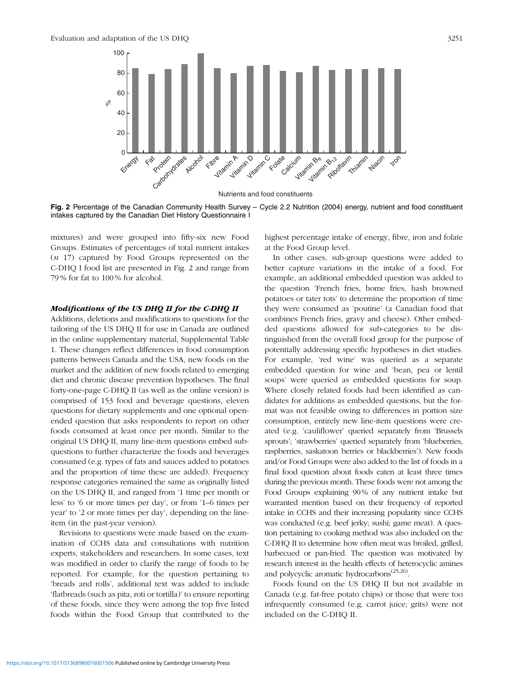

Nutrients and food constituents

Fig. 2 Percentage of the Canadian Community Health Survey - Cycle 2.2 Nutrition (2004) energy, nutrient and food constituent intakes captured by the Canadian Diet History Questionnaire I

mixtures) and were grouped into fifty-six new Food Groups. Estimates of percentages of total nutrient intakes  $(n 17)$  captured by Food Groups represented on the C-DHQ I food list are presented in Fig. 2 and range from 79 % for fat to 100 % for alcohol.

#### Modifications of the US DHQ II for the C-DHQ II

Additions, deletions and modifications to questions for the tailoring of the US DHQ II for use in Canada are outlined in the online supplementary material, Supplemental Table 1. These changes reflect differences in food consumption patterns between Canada and the USA, new foods on the market and the addition of new foods related to emerging diet and chronic disease prevention hypotheses. The final forty-one-page C-DHQ II (as well as the online version) is comprised of 153 food and beverage questions, eleven questions for dietary supplements and one optional openended question that asks respondents to report on other foods consumed at least once per month. Similar to the original US DHQ II, many line-item questions embed subquestions to further characterize the foods and beverages consumed (e.g. types of fats and sauces added to potatoes and the proportion of time these are added). Frequency response categories remained the same as originally listed on the US DHQ II, and ranged from '1 time per month or less' to '6 or more times per day', or from '1–6 times per year' to '2 or more times per day', depending on the lineitem (in the past-year version).

Revisions to questions were made based on the examination of CCHS data and consultations with nutrition experts, stakeholders and researchers. In some cases, text was modified in order to clarify the range of foods to be reported. For example, for the question pertaining to 'breads and rolls', additional text was added to include 'flatbreads (such as pita, roti or tortilla)' to ensure reporting of these foods, since they were among the top five listed foods within the Food Group that contributed to the highest percentage intake of energy, fibre, iron and folate at the Food Group level.

In other cases, sub-group questions were added to better capture variations in the intake of a food. For example, an additional embedded question was added to the question 'French fries, home fries, hash browned potatoes or tater tots' to determine the proportion of time they were consumed as 'poutine' (a Canadian food that combines French fries, gravy and cheese). Other embedded questions allowed for sub-categories to be distinguished from the overall food group for the purpose of potentially addressing specific hypotheses in diet studies. For example, 'red wine' was queried as a separate embedded question for wine and 'bean, pea or lentil soups' were queried as embedded questions for soup. Where closely related foods had been identified as candidates for additions as embedded questions, but the format was not feasible owing to differences in portion size consumption, entirely new line-item questions were created (e.g. 'cauliflower' queried separately from 'Brussels sprouts'; 'strawberries' queried separately from 'blueberries, raspberries, saskatoon berries or blackberries'). New foods and/or Food Groups were also added to the list of foods in a final food question about foods eaten at least three times during the previous month. These foods were not among the Food Groups explaining 90 % of any nutrient intake but warranted mention based on their frequency of reported intake in CCHS and their increasing popularity since CCHS was conducted (e.g. beef jerky; sushi; game meat). A question pertaining to cooking method was also included on the C-DHQ II to determine how often meat was broiled, grilled, barbecued or pan-fried. The question was motivated by research interest in the health effects of heterocyclic amines and polycyclic aromatic hydrocarbons<sup> $(25,26)$  $(25,26)$ </sup>.

Foods found on the US DHQ II but not available in Canada (e.g. fat-free potato chips) or those that were too infrequently consumed (e.g. carrot juice; grits) were not included on the C-DHQ II.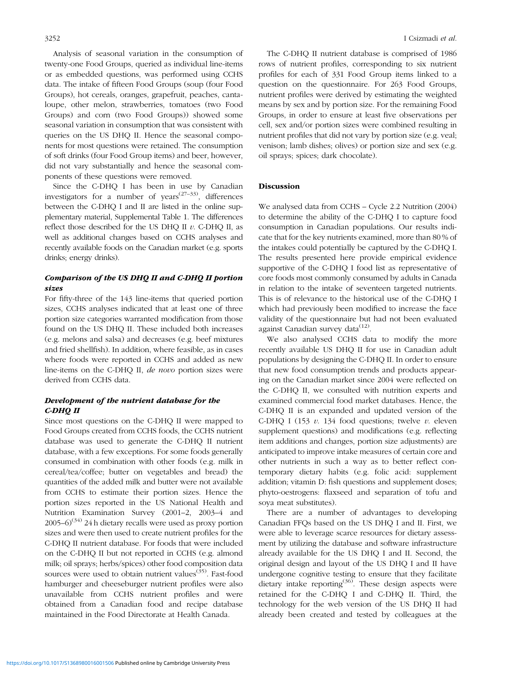Analysis of seasonal variation in the consumption of twenty-one Food Groups, queried as individual line-items or as embedded questions, was performed using CCHS data. The intake of fifteen Food Groups (soup (four Food Groups), hot cereals, oranges, grapefruit, peaches, cantaloupe, other melon, strawberries, tomatoes (two Food Groups) and corn (two Food Groups)) showed some seasonal variation in consumption that was consistent with queries on the US DHQ II. Hence the seasonal components for most questions were retained. The consumption of soft drinks (four Food Group items) and beer, however, did not vary substantially and hence the seasonal components of these questions were removed.

Since the C-DHQ I has been in use by Canadian investigators for a number of years<sup> $(27-33)$  $(27-33)$  $(27-33)$ </sup>, differences between the C-DHQ I and II are listed in the online supplementary material, Supplemental Table 1. The differences reflect those described for the US DHQ II  $v$ . C-DHQ II, as well as additional changes based on CCHS analyses and recently available foods on the Canadian market (e.g. sports drinks; energy drinks).

# Comparison of the US DHQ II and C-DHQ II portion sizes

For fifty-three of the 143 line-items that queried portion sizes, CCHS analyses indicated that at least one of three portion size categories warranted modification from those found on the US DHQ II. These included both increases (e.g. melons and salsa) and decreases (e.g. beef mixtures and fried shellfish). In addition, where feasible, as in cases where foods were reported in CCHS and added as new line-items on the C-DHQ II, de novo portion sizes were derived from CCHS data.

## Development of the nutrient database for the  $C$ -DHO II

Since most questions on the C-DHQ II were mapped to Food Groups created from CCHS foods, the CCHS nutrient database was used to generate the C-DHQ II nutrient database, with a few exceptions. For some foods generally consumed in combination with other foods (e.g. milk in cereal/tea/coffee; butter on vegetables and bread) the quantities of the added milk and butter were not available from CCHS to estimate their portion sizes. Hence the portion sizes reported in the US National Health and Nutrition Examination Survey (2001–2, 2003–4 and 2005– $6^{(34)}$  $6^{(34)}$  $6^{(34)}$  24 h dietary recalls were used as proxy portion sizes and were then used to create nutrient profiles for the C-DHQ II nutrient database. For foods that were included on the C-DHQ II but not reported in CCHS (e.g. almond milk; oil sprays; herbs/spices) other food composition data sources were used to obtain nutrient values<sup>([35\)](#page-8-0)</sup>. Fast-food hamburger and cheeseburger nutrient profiles were also unavailable from CCHS nutrient profiles and were obtained from a Canadian food and recipe database maintained in the Food Directorate at Health Canada.

The C-DHQ II nutrient database is comprised of 1986 rows of nutrient profiles, corresponding to six nutrient profiles for each of 331 Food Group items linked to a question on the questionnaire. For 263 Food Groups, nutrient profiles were derived by estimating the weighted means by sex and by portion size. For the remaining Food Groups, in order to ensure at least five observations per cell, sex and/or portion sizes were combined resulting in nutrient profiles that did not vary by portion size (e.g. veal; venison; lamb dishes; olives) or portion size and sex (e.g. oil sprays; spices; dark chocolate).

#### Discussion

We analysed data from CCHS – Cycle 2.2 Nutrition (2004) to determine the ability of the C-DHQ I to capture food consumption in Canadian populations. Our results indicate that for the key nutrients examined, more than 80 % of the intakes could potentially be captured by the C-DHQ I. The results presented here provide empirical evidence supportive of the C-DHQ I food list as representative of core foods most commonly consumed by adults in Canada in relation to the intake of seventeen targeted nutrients. This is of relevance to the historical use of the C-DHQ I which had previously been modified to increase the face validity of the questionnaire but had not been evaluated against Canadian survey data $^{(12)}$  $^{(12)}$  $^{(12)}$ .

We also analysed CCHS data to modify the more recently available US DHQ II for use in Canadian adult populations by designing the C-DHQ II. In order to ensure that new food consumption trends and products appearing on the Canadian market since 2004 were reflected on the C-DHQ II, we consulted with nutrition experts and examined commercial food market databases. Hence, the C-DHQ II is an expanded and updated version of the C-DHQ I (153  $v$ . 134 food questions; twelve  $v$ . eleven supplement questions) and modifications (e.g. reflecting item additions and changes, portion size adjustments) are anticipated to improve intake measures of certain core and other nutrients in such a way as to better reflect contemporary dietary habits (e.g. folic acid: supplement addition; vitamin D: fish questions and supplement doses; phyto-oestrogens: flaxseed and separation of tofu and soya meat substitutes).

There are a number of advantages to developing Canadian FFQs based on the US DHQ I and II. First, we were able to leverage scarce resources for dietary assessment by utilizing the database and software infrastructure already available for the US DHQ I and II. Second, the original design and layout of the US DHQ I and II have undergone cognitive testing to ensure that they facilitate dietary intake reporting<sup>[\(36\)](#page-8-0)</sup>. These design aspects were retained for the C-DHQ I and C-DHQ II. Third, the technology for the web version of the US DHQ II had already been created and tested by colleagues at the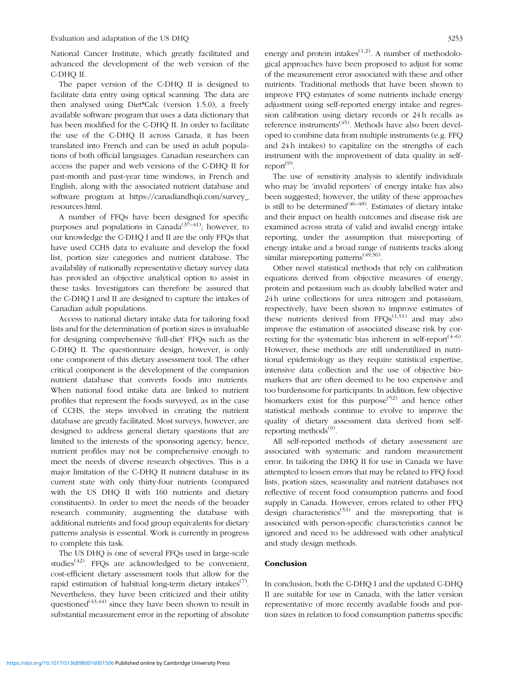National Cancer Institute, which greatly facilitated and advanced the development of the web version of the C-DHQ II.

The paper version of the C-DHQ II is designed to facilitate data entry using optical scanning. The data are then analysed using Diet\*Calc (version 1.5.0), a freely available software program that uses a data dictionary that has been modified for the C-DHQ II. In order to facilitate the use of the C-DHQ II across Canada, it has been translated into French and can be used in adult populations of both official languages. Canadian researchers can access the paper and web versions of the C-DHQ II for past-month and past-year time windows, in French and English, along with the associated nutrient database and software program at [https://canadiandhqii.com/survey\\_](https://canadiandhqii.com/survey_resources.html) [resources.html.](https://canadiandhqii.com/survey_resources.html)

A number of FFQs have been designed for specific purposes and populations in Canada<sup> $(37-41)$  $(37-41)$  $(37-41)$  $(37-41)$  $(37-41)$ </sup>; however, to our knowledge the C-DHQ I and II are the only FFQs that have used CCHS data to evaluate and develop the food list, portion size categories and nutrient database. The availability of nationally representative dietary survey data has provided an objective analytical option to assist in these tasks. Investigators can therefore be assured that the C-DHQ I and II are designed to capture the intakes of Canadian adult populations.

Access to national dietary intake data for tailoring food lists and for the determination of portion sizes is invaluable for designing comprehensive 'full-diet' FFQs such as the C-DHQ II. The questionnaire design, however, is only one component of this dietary assessment tool. The other critical component is the development of the companion nutrient database that converts foods into nutrients. When national food intake data are linked to nutrient profiles that represent the foods surveyed, as in the case of CCHS, the steps involved in creating the nutrient database are greatly facilitated. Most surveys, however, are designed to address general dietary questions that are limited to the interests of the sponsoring agency; hence, nutrient profiles may not be comprehensive enough to meet the needs of diverse research objectives. This is a major limitation of the C-DHQ II nutrient database in its current state with only thirty-four nutrients (compared with the US DHQ II with 160 nutrients and dietary constituents). In order to meet the needs of the broader research community, augmenting the database with additional nutrients and food group equivalents for dietary patterns analysis is essential. Work is currently in progress to complete this task.

The US DHQ is one of several FFQs used in large-scale studies<sup> $(42)$  $(42)$ </sup>. FFQs are acknowledged to be convenient, cost-efficient dietary assessment tools that allow for the rapid estimation of habitual long-term dietary intakes<sup> $(7)$  $(7)$  $(7)$ </sup>. Nevertheless, they have been criticized and their utility questioned<sup> $(43,44)$  $(43,44)$ </sup> since they have been shown to result in substantial measurement error in the reporting of absolute energy and protein intakes $(1,2)$ . A number of methodological approaches have been proposed to adjust for some of the measurement error associated with these and other nutrients. Traditional methods that have been shown to improve FFQ estimates of some nutrients include energy adjustment using self-reported energy intake and regression calibration using dietary records or 24 h recalls as reference instruments<sup>[\(45](#page-8-0))</sup>. Methods have also been developed to combine data from multiple instruments (e.g. FFQ and 24 h intakes) to capitalize on the strengths of each instrument with the improvement of data quality in self- $report<sup>(9)</sup>$  $report<sup>(9)</sup>$  $report<sup>(9)</sup>$ .

The use of sensitivity analysis to identify individuals who may be 'invalid reporters' of energy intake has also been suggested; however, the utility of these approaches is still to be determined<sup> $(46–48)$  $(46–48)$  $(46–48)$  $(46–48)$  $(46–48)$ </sup>. Estimates of dietary intake and their impact on health outcomes and disease risk are examined across strata of valid and invalid energy intake reporting, under the assumption that misreporting of energy intake and a broad range of nutrients tracks along similar misreporting patterns<sup> $(49,50)$  $(49,50)$ </sup>.

Other novel statistical methods that rely on calibration equations derived from objective measures of energy, protein and potassium such as doubly labelled water and 24 h urine collections for urea nitrogen and potassium, respectively, have been shown to improve estimates of these nutrients derived from  $FFQs^{(1,51)}$  $FFQs^{(1,51)}$  $FFQs^{(1,51)}$  $FFQs^{(1,51)}$  and may also improve the estimation of associated disease risk by correcting for the systematic bias inherent in self-report $(4-6)$  $(4-6)$  $(4-6)$ . However, these methods are still underutilized in nutritional epidemiology as they require statistical expertise, intensive data collection and the use of objective biomarkers that are often deemed to be too expensive and too burdensome for participants. In addition, few objective biomarkers exist for this purpose<sup> $(52)$  $(52)$ </sup> and hence other statistical methods continue to evolve to improve the quality of dietary assessment data derived from selfreporting methods $^{(9)}$  $^{(9)}$  $^{(9)}$ .

All self-reported methods of dietary assessment are associated with systematic and random measurement error. In tailoring the DHQ II for use in Canada we have attempted to lessen errors that may be related to FFQ food lists, portion sizes, seasonality and nutrient databases not reflective of recent food consumption patterns and food supply in Canada. However, errors related to other FFQ design characteristics<sup> $(53)$  $(53)$ </sup> and the misreporting that is associated with person-specific characteristics cannot be ignored and need to be addressed with other analytical and study design methods.

#### Conclusion

In conclusion, both the C-DHQ I and the updated C-DHQ II are suitable for use in Canada, with the latter version representative of more recently available foods and portion sizes in relation to food consumption patterns specific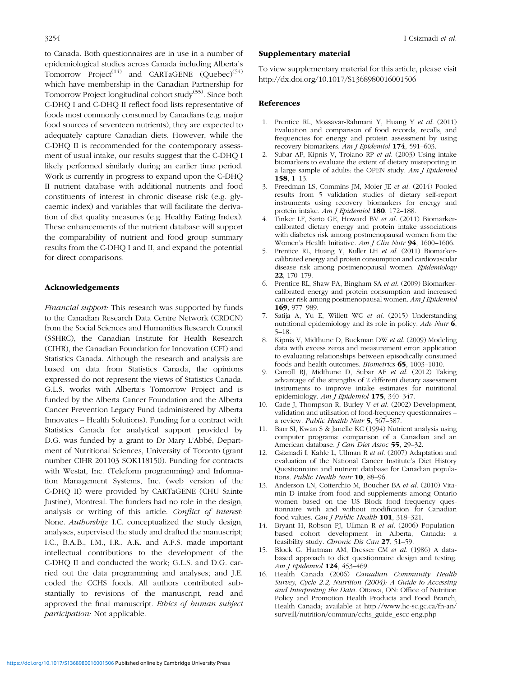<span id="page-7-0"></span>to Canada. Both questionnaires are in use in a number of epidemiological studies across Canada including Alberta's Tomorrow Project<sup> $(14)$ </sup> and CARTaGENE (Quebec)<sup>[\(54](#page-8-0))</sup> which have membership in the Canadian Partnership for Tomorrow Project longitudinal cohort study([55\)](#page-8-0). Since both C-DHQ I and C-DHQ II reflect food lists representative of foods most commonly consumed by Canadians (e.g. major food sources of seventeen nutrients), they are expected to adequately capture Canadian diets. However, while the C-DHQ II is recommended for the contemporary assessment of usual intake, our results suggest that the C-DHQ I likely performed similarly during an earlier time period. Work is currently in progress to expand upon the C-DHQ II nutrient database with additional nutrients and food constituents of interest in chronic disease risk (e.g. glycaemic index) and variables that will facilitate the derivation of diet quality measures (e.g. Healthy Eating Index). These enhancements of the nutrient database will support the comparability of nutrient and food group summary results from the C-DHQ I and II, and expand the potential for direct comparisons.

#### Acknowledgements

Financial support: This research was supported by funds to the Canadian Research Data Centre Network (CRDCN) from the Social Sciences and Humanities Research Council (SSHRC), the Canadian Institute for Health Research (CIHR), the Canadian Foundation for Innovation (CFI) and Statistics Canada. Although the research and analysis are based on data from Statistics Canada, the opinions expressed do not represent the views of Statistics Canada. G.L.S. works with Alberta's Tomorrow Project and is funded by the Alberta Cancer Foundation and the Alberta Cancer Prevention Legacy Fund (administered by Alberta Innovates – Health Solutions). Funding for a contract with Statistics Canada for analytical support provided by D.G. was funded by a grant to Dr Mary L'Abbé, Department of Nutritional Sciences, University of Toronto (grant number CIHR 201103 SOK118150). Funding for contracts with Westat, Inc. (Teleform programming) and Information Management Systems, Inc. (web version of the C-DHQ II) were provided by CARTaGENE (CHU Sainte Justine), Montreal. The funders had no role in the design, analysis or writing of this article. Conflict of interest: None. Authorship: I.C. conceptualized the study design, analyses, supervised the study and drafted the manuscript; I.C., B.A.B., I.M., I.R., A.K. and A.F.S. made important intellectual contributions to the development of the C-DHQ II and conducted the work; G.L.S. and D.G. carried out the data programming and analyses; and J.E. coded the CCHS foods. All authors contributed substantially to revisions of the manuscript, read and approved the final manuscript. Ethics of human subject participation: Not applicable.

#### Supplementary material

To view supplementary material for this article, please visit <http://dx.doi.org/10.1017/S1368980016001506>

#### References

- 1. Prentice RL, Mossavar-Rahmani Y, Huang Y et al. (2011) Evaluation and comparison of food records, recalls, and frequencies for energy and protein assessment by using recovery biomarkers. Am J Epidemiol 174, 591–603.
- 2. Subar AF, Kipnis V, Troiano RP et al. (2003) Using intake biomarkers to evaluate the extent of dietary misreporting in a large sample of adults: the OPEN study. Am J Epidemiol 158, 1–13.
- 3. Freedman LS, Commins JM, Moler JE et al. (2014) Pooled results from 5 validation studies of dietary self-report instruments using recovery biomarkers for energy and protein intake. Am J Epidemiol 180, 172-188.
- 4. Tinker LF, Sarto GE, Howard BV et al. (2011) Biomarkercalibrated dietary energy and protein intake associations with diabetes risk among postmenopausal women from the Women's Health Initiative. Am J Clin Nutr 94, 1600-1606.
- 5. Prentice RL, Huang Y, Kuller LH et al. (2011) Biomarkercalibrated energy and protein consumption and cardiovascular disease risk among postmenopausal women. Epidemiology 22, 170–179.
- 6. Prentice RL, Shaw PA, Bingham SA et al. (2009) Biomarkercalibrated energy and protein consumption and increased cancer risk among postmenopausal women. Am J Epidemiol 169, 977–989.
- 7. Satija A, Yu E, Willett WC et al. (2015) Understanding nutritional epidemiology and its role in policy. Adv Nutr 6, 5–18.
- 8. Kipnis V, Midthune D, Buckman DW et al. (2009) Modeling data with excess zeros and measurement error: application to evaluating relationships between episodically consumed foods and health outcomes. Biometrics 65, 1003–1010.
- Carroll RJ, Midthune D, Subar AF et al. (2012) Taking advantage of the strengths of 2 different dietary assessment instruments to improve intake estimates for nutritional epidemiology. Am J Epidemiol 175, 340-347.
- 10. Cade J, Thompson R, Burley V et al. (2002) Development, validation and utilisation of food-frequency questionnaires – a review. Public Health Nutr 5, 567–587.
- 11. Barr SI, Kwan S & Janelle KC (1994) Nutrient analysis using computer programs: comparison of a Canadian and an American database. J Can Diet Assoc 55, 29–32.
- 12. Csizmadi I, Kahle L, Ullman R et al. (2007) Adaptation and evaluation of the National Cancer Institute's Diet History Questionnaire and nutrient database for Canadian populations. Public Health Nutr **10**, 88–96.
- 13. Anderson LN, Cotterchio M, Boucher BA et al. (2010) Vitamin D intake from food and supplements among Ontario women based on the US Block food frequency questionnaire with and without modification for Canadian food values. Can J Public Health 101, 318–321.
- Bryant H, Robson PJ, Ullman R et al. (2006) Populationbased cohort development in Alberta, Canada: a feasibility study. Chronic Dis Can 27, 51-59.
- 15. Block G, Hartman AM, Dresser CM et al. (1986) A databased approach to diet questionnaire design and testing. Am J Epidemiol 124, 453–469.
- 16. Health Canada (2006) Canadian Community Health Survey, Cycle 2.2, Nutrition (2004): A Guide to Accessing and Interpreting the Data. Ottawa, ON: Office of Nutrition Policy and Promotion Health Products and Food Branch, Health Canada; available at http://www.hc-sc.gc.ca/fn-an/ surveill/nutrition/commun/cchs\_guide\_escc-eng.php